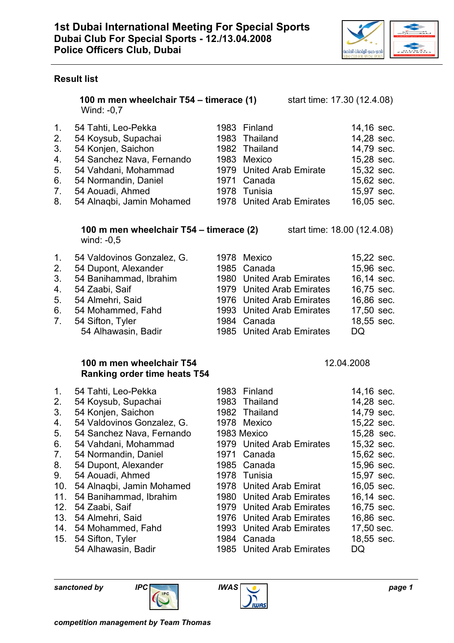

### Result list

100 m men wheelchair T54 – timerace (1) start time: 17.30 (12.4.08) Wind: -0,7

|    | 1. 54 Tahti, Leo-Pekka       | 1983 Finland              | 14,16 sec. |
|----|------------------------------|---------------------------|------------|
|    | 2. 54 Koysub, Supachai       | 1983 Thailand             | 14,28 sec. |
|    | 54 Konjen, Saichon           | 1982 Thailand             | 14,79 sec. |
|    | 4. 54 Sanchez Nava, Fernando | 1983 Mexico               | 15,28 sec. |
|    | 5. 54 Vahdani, Mohammad      | 1979 United Arab Emirate  | 15,32 sec. |
| 6. | 54 Normandin, Daniel         | 1971 Canada               | 15,62 sec. |
|    | 7. 54 Aouadi, Ahmed          | 1978 Tunisia              | 15,97 sec. |
|    | 8. 54 Alnagbi, Jamin Mohamed | 1978 United Arab Emirates | 16,05 sec. |
|    |                              |                           |            |

#### **100 m men wheelchair T54 – timerace (2)** start time:  $18.00$  (12.4.08) wind: -0,5

| 1 <sub>1</sub> | 54 Valdovinos Gonzalez, G. | 1978 Mexico               | 15,22 sec. |
|----------------|----------------------------|---------------------------|------------|
| 2.             | 54 Dupont, Alexander       | 1985 Canada               | 15,96 sec. |
| 3 <sub>1</sub> | 54 Banihammad, Ibrahim     | 1980 United Arab Emirates | 16,14 sec. |
| 4.             | 54 Zaabi, Saif             | 1979 United Arab Emirates | 16,75 sec. |
| 5 <sub>1</sub> | 54 Almehri, Said           | 1976 United Arab Emirates | 16,86 sec. |
| 6.             | 54 Mohammed, Fahd          | 1993 United Arab Emirates | 17,50 sec. |
| 7 <sub>1</sub> | 54 Sifton, Tyler           | 1984 Canada               | 18,55 sec. |
|                | 54 Alhawasin, Badir        | 1985 United Arab Emirates | DQ         |

# 100 m men wheelchair T54 12.04.2008 Ranking order time heats T54

1. 54 Tahti, Leo-Pekka 1983 Finland 14,16 sec. 2. 54 Koysub, Supachai 1983 Thailand 14,28 sec. 3. 54 Konjen, Saichon 1982 Thailand 14,79 sec. 4. 54 Valdovinos Gonzalez, G. 1978 Mexico 15,22 sec. 5. 54 Sanchez Nava, Fernando 1983 Mexico 15,28 sec. 6. 54 Vahdani, Mohammad 1979 United Arab Emirates 15,32 sec. 7. 54 Normandin, Daniel 1971 Canada 15,62 sec. 8. 54 Dupont, Alexander 1985 Canada 15,96 sec. 9. 54 Aouadi, Ahmed 1978 Tunisia 15,97 sec. 10. 54 Alnaqbi, Jamin Mohamed 1978 United Arab Emirat 16,05 sec. 11. 54 Banihammad, Ibrahim 1980 United Arab Emirates 16,14 sec. 12. 54 Zaabi, Saif 1979 United Arab Emirates 16,75 sec. 13. 54 Almehri, Said 1976 United Arab Emirates 16,86 sec. 14. 54 Mohammed, Fahd 1993 United Arab Emirates 17,50 sec. 15. 54 Sifton, Tyler 1984 Canada 18,55 sec. 54 Alhawasin, Badir 1985 United Arab Emirates DQ



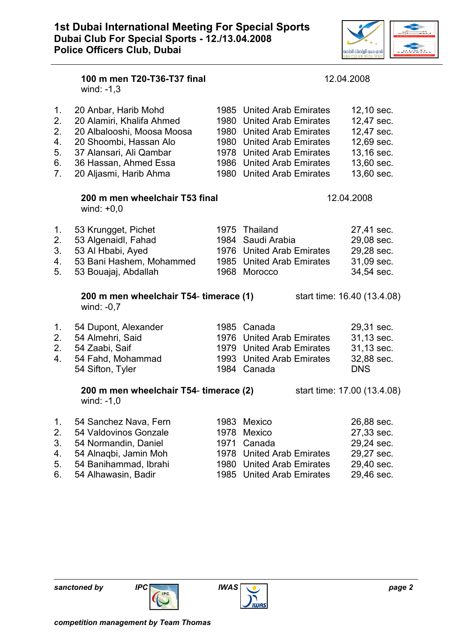

|                                                    | 100 m men T20-T36-T37 final<br>wind: $-1,3$                                                                                                                                             |                                              | 12.04.2008                                                                                                                                                                                              |                                                                                                |  |
|----------------------------------------------------|-----------------------------------------------------------------------------------------------------------------------------------------------------------------------------------------|----------------------------------------------|---------------------------------------------------------------------------------------------------------------------------------------------------------------------------------------------------------|------------------------------------------------------------------------------------------------|--|
| 1.<br>2.<br>2.<br>4.<br>5.<br>6.<br>7 <sub>1</sub> | 20 Anbar, Harib Mohd<br>20 Alamiri, Khalifa Ahmed<br>20 Albalooshi, Moosa Moosa<br>20 Shoombi, Hassan Alo<br>37 Alansari, Ali Qambar<br>36 Hassan, Ahmed Essa<br>20 Aljasmi, Harib Ahma |                                              | 1985 United Arab Emirates<br>1980 United Arab Emirates<br>1980 United Arab Emirates<br>1980 United Arab Emirates<br>1978 United Arab Emirates<br>1986 United Arab Emirates<br>1980 United Arab Emirates | 12,10 sec.<br>12,47 sec.<br>12,47 sec.<br>12,69 sec.<br>13,16 sec.<br>13,60 sec.<br>13,60 sec. |  |
|                                                    | 200 m men wheelchair T53 final<br>wind: $+0,0$                                                                                                                                          | 12.04.2008                                   |                                                                                                                                                                                                         |                                                                                                |  |
| 1.<br>2.<br>3.<br>4.<br>5.                         | 53 Krungget, Pichet<br>53 Algenaidl, Fahad<br>53 Al Hbabi, Ayed<br>53 Bani Hashem, Mohammed<br>53 Bouajaj, Abdallah                                                                     | 1984<br>1968                                 | 1975 Thailand<br>Saudi Arabia<br>1976 United Arab Emirates<br>1985 United Arab Emirates<br>Morocco                                                                                                      | 27,41 sec.<br>29,08 sec.<br>29,28 sec.<br>31,09 sec.<br>34,54 sec.                             |  |
|                                                    | 200 m men wheelchair T54- timerace (1)<br>wind: $-0.7$                                                                                                                                  |                                              |                                                                                                                                                                                                         | start time: 16.40 (13.4.08)                                                                    |  |
| 1.<br>2.<br>2.<br>4.                               | 54 Dupont, Alexander<br>54 Almehri, Said<br>54 Zaabi, Saif<br>54 Fahd, Mohammad<br>54 Sifton, Tyler                                                                                     |                                              | 1985 Canada<br>1976 United Arab Emirates<br>1979 United Arab Emirates<br>1993 United Arab Emirates<br>1984 Canada                                                                                       | 29,31 sec.<br>31,13 sec.<br>31,13 sec.<br>32,88 sec.<br><b>DNS</b>                             |  |
|                                                    | 200 m men wheelchair T54- timerace (2)<br>wind: $-1,0$                                                                                                                                  |                                              |                                                                                                                                                                                                         | start time: 17.00 (13.4.08)                                                                    |  |
| 1.<br>2.<br>3.<br>4.<br>5.<br>6.                   | 54 Sanchez Nava, Fern<br>54 Valdovinos Gonzale<br>54 Normandin, Daniel<br>54 Alnagbi, Jamin Moh<br>54 Banihammad, Ibrahi<br>54 Alhawasin, Badir                                         | 1983<br>1978<br>1971<br>1978<br>1980<br>1985 | <b>Mexico</b><br>Mexico<br>Canada<br><b>United Arab Emirates</b><br><b>United Arab Emirates</b><br><b>United Arab Emirates</b>                                                                          | 26,88 sec.<br>27,33 sec.<br>29,24 sec.<br>29,27 sec.<br>29,40 sec.<br>29,46 sec.               |  |

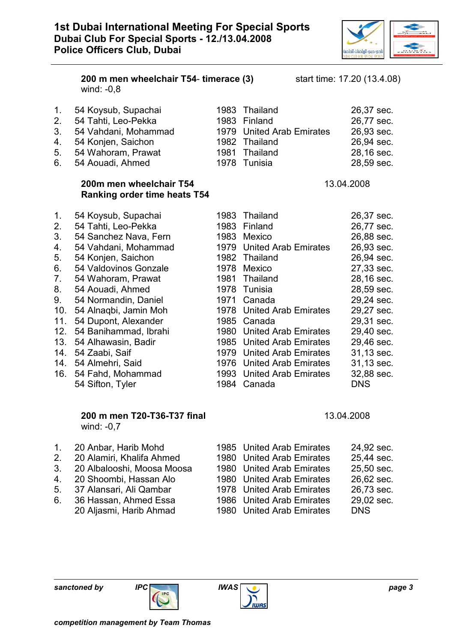

|                                                                                                     | 200 m men wheelchair T54- timerace (3)<br>wind: $-0,8$                                                                                                                                                                                                                                                                                                                                       |                                      |                                                                                                                                                                                                                                                                                                                                                     | start time: 17.20 (13.4.08) |                                                                                                                                                                                                                                            |
|-----------------------------------------------------------------------------------------------------|----------------------------------------------------------------------------------------------------------------------------------------------------------------------------------------------------------------------------------------------------------------------------------------------------------------------------------------------------------------------------------------------|--------------------------------------|-----------------------------------------------------------------------------------------------------------------------------------------------------------------------------------------------------------------------------------------------------------------------------------------------------------------------------------------------------|-----------------------------|--------------------------------------------------------------------------------------------------------------------------------------------------------------------------------------------------------------------------------------------|
| 1.<br>2.<br>3.<br>4.<br>5.<br>6.                                                                    | 54 Koysub, Supachai<br>54 Tahti, Leo-Pekka<br>54 Vahdani, Mohammad<br>54 Konjen, Saichon<br>54 Wahoram, Prawat<br>54 Aouadi, Ahmed                                                                                                                                                                                                                                                           | 1983<br>1981<br>1978                 | Thailand<br>1983 Finland<br>1979 United Arab Emirates<br>1982 Thailand<br>Thailand<br>Tunisia                                                                                                                                                                                                                                                       |                             | 26,37 sec.<br>26,77 sec.<br>26,93 sec.<br>26,94 sec.<br>28,16 sec.<br>28,59 sec.                                                                                                                                                           |
|                                                                                                     | 200m men wheelchair T54<br><b>Ranking order time heats T54</b>                                                                                                                                                                                                                                                                                                                               |                                      |                                                                                                                                                                                                                                                                                                                                                     | 13.04.2008                  |                                                                                                                                                                                                                                            |
| 1.<br>2.<br>3.<br>4.<br>5.<br>6.<br>7.<br>8.<br>9.<br>10.<br>11.<br>12.<br>13.<br>14.<br>14.<br>16. | 54 Koysub, Supachai<br>54 Tahti, Leo-Pekka<br>54 Sanchez Nava, Fern<br>54 Vahdani, Mohammad<br>54 Konjen, Saichon<br>54 Valdovinos Gonzale<br>54 Wahoram, Prawat<br>54 Aouadi, Ahmed<br>54 Normandin, Daniel<br>54 Alnaqbi, Jamin Moh<br>54 Dupont, Alexander<br>54 Banihammad, Ibrahi<br>54 Alhawasin, Badir<br>54 Zaabi, Saif<br>54 Almehri, Said<br>54 Fahd, Mohammad<br>54 Sifton, Tyler | 1981<br>1978<br>1971<br>1978<br>1984 | 1983 Thailand<br>1983 Finland<br>1983 Mexico<br>1979 United Arab Emirates<br>1982 Thailand<br>1978 Mexico<br>Thailand<br>Tunisia<br>Canada<br><b>United Arab Emirates</b><br>1985 Canada<br>1980 United Arab Emirates<br>1985 United Arab Emirates<br>1979 United Arab Emirates<br>1976 United Arab Emirates<br>1993 United Arab Emirates<br>Canada |                             | 26,37 sec.<br>26,77 sec.<br>26,88 sec.<br>26,93 sec.<br>26,94 sec.<br>27,33 sec.<br>28,16 sec.<br>28,59 sec.<br>29,24 sec.<br>29,27 sec.<br>29,31 sec.<br>29,40 sec.<br>29,46 sec.<br>31,13 sec.<br>31,13 sec.<br>32,88 sec.<br><b>DNS</b> |
|                                                                                                     | 200 m men T20-T36-T37 final<br>wind: -0,7                                                                                                                                                                                                                                                                                                                                                    |                                      |                                                                                                                                                                                                                                                                                                                                                     | 13.04.2008                  |                                                                                                                                                                                                                                            |
| 1.<br>2.<br>3.<br>4.<br>5.                                                                          | 20 Anbar, Harib Mohd<br>20 Alamiri, Khalifa Ahmed<br>20 Albalooshi, Moosa Moosa<br>20 Shoombi, Hassan Alo<br>37 Alansari, Ali Qambar                                                                                                                                                                                                                                                         |                                      | 1985 United Arab Emirates<br>1980 United Arab Emirates<br>1980 United Arab Emirates<br>1980 United Arab Emirates<br>1978 United Arab Emirates                                                                                                                                                                                                       |                             | 24,92 sec.<br>25,44 sec.<br>25,50 sec.<br>26,62 sec.<br>26,73 sec.                                                                                                                                                                         |

- 6. 36 Hassan, Ahmed Essa 1986 United Arab Emirates 29,02 sec.
	- 20 Aljasmi, Harib Ahmad 1980 United Arab Emirates DNS

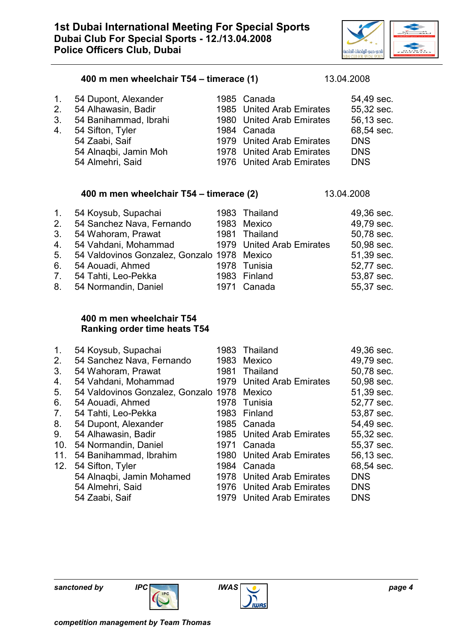

#### 400 m men wheelchair T54 – timerace (1) 13.04.2008

| 3. | 1. 54 Dupont, Alexander<br>2. 54 Alhawasin, Badir<br>54 Banihammad, Ibrahi<br>4. 54 Sifton, Tyler<br>54 Zaabi, Saif<br>54 Alnaqbi, Jamin Moh<br>54 Almehri, Said | 1985 Canada<br>1985 United Arab Emirates<br>1980 United Arab Emirates<br>1984 Canada<br>1979 United Arab Emirates<br>1978 United Arab Emirates<br>1976 United Arab Emirates | 54,49 sec.<br>55,32 sec.<br>56,13 sec.<br>68,54 sec.<br><b>DNS</b><br><b>DNS</b><br><b>DNS</b> |
|----|------------------------------------------------------------------------------------------------------------------------------------------------------------------|-----------------------------------------------------------------------------------------------------------------------------------------------------------------------------|------------------------------------------------------------------------------------------------|
|    |                                                                                                                                                                  |                                                                                                                                                                             |                                                                                                |

#### 400 m men wheelchair T54 – timerace (2) 13.04.2008

| 1 <sub>1</sub> | 54 Koysub, Supachai                         | 1983 Thailand             | 49,36 sec. |
|----------------|---------------------------------------------|---------------------------|------------|
| 2.             | 54 Sanchez Nava, Fernando                   | 1983 Mexico               | 49,79 sec. |
| 3 <sub>1</sub> | 54 Wahoram, Prawat                          | 1981 Thailand             | 50,78 sec. |
| 4.             | 54 Vahdani, Mohammad                        | 1979 United Arab Emirates | 50,98 sec. |
| 5.             | 54 Valdovinos Gonzalez, Gonzalo 1978 Mexico |                           | 51,39 sec. |
| 6.             | 54 Aouadi, Ahmed                            | 1978 Tunisia              | 52,77 sec. |
| 7 <sub>1</sub> | 54 Tahti, Leo-Pekka                         | 1983 Finland              | 53,87 sec. |
| 8.             | 54 Normandin, Daniel                        | 1971 Canada               | 55,37 sec. |

## 400 m men wheelchair T54 Ranking order time heats T54

| $\mathbf 1$ .  | 54 Koysub, Supachai                  | 1983 | Thailand                    | 49,36 sec. |
|----------------|--------------------------------------|------|-----------------------------|------------|
| 2.             | 54 Sanchez Nava, Fernando            | 1983 | Mexico                      | 49,79 sec. |
| 3.             | 54 Wahoram, Prawat                   | 1981 | Thailand                    | 50,78 sec. |
| 4.             | 54 Vahdani, Mohammad                 |      | 1979 United Arab Emirates   | 50,98 sec. |
| 5.             | 54 Valdovinos Gonzalez, Gonzalo 1978 |      | Mexico                      | 51,39 sec. |
| 6.             | 54 Aouadi, Ahmed                     |      | 1978 Tunisia                | 52,77 sec. |
| 7 <sub>1</sub> | 54 Tahti, Leo-Pekka                  |      | 1983 Finland                | 53,87 sec. |
| 8.             | 54 Dupont, Alexander                 |      | 1985 Canada                 | 54,49 sec. |
| 9.             | 54 Alhawasin, Badir                  |      | 1985 United Arab Emirates   | 55,32 sec. |
| 10.            | 54 Normandin, Daniel                 | 1971 | Canada                      | 55,37 sec. |
| 11.            | 54 Banihammad, Ibrahim               |      | 1980 United Arab Emirates   | 56,13 sec. |
| 12.            | 54 Sifton, Tyler                     |      | 1984 Canada                 | 68,54 sec. |
|                | 54 Alnaqbi, Jamin Mohamed            |      | 1978 United Arab Emirates   | <b>DNS</b> |
|                | 54 Almehri, Said                     |      | 1976 United Arab Emirates   | <b>DNS</b> |
|                | 54 Zaabi, Saif                       | 1979 | <b>United Arab Emirates</b> | <b>DNS</b> |



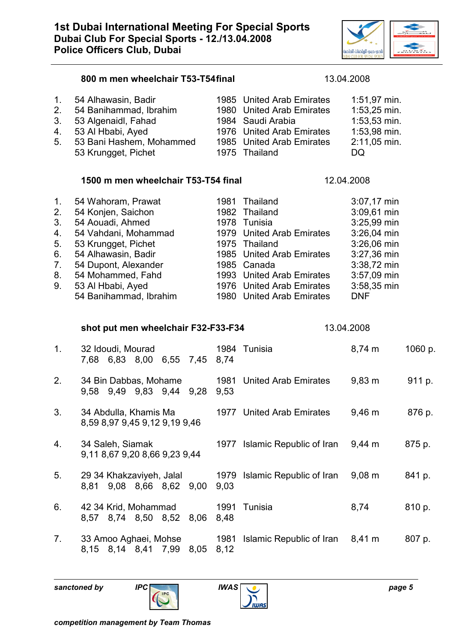

| 1 <sub>1</sub><br>2.<br>3.<br>4.<br>5.             | 54 Alhawasin, Badir<br>54 Banihammad, Ibrahim<br>53 Algenaidl, Fahad<br>53 Al Hbabi, Ayed<br>53 Bani Hashem, Mohammed<br>53 Krungget, Pichet                                                                                   | 1980         | 1985 United Arab Emirates<br><b>United Arab Emirates</b><br>1984 Saudi Arabia<br>1976 United Arab Emirates<br>1985 United Arab Emirates<br>1975 Thailand                                                                   | 1:51,97 min.<br>1:53,25 min.<br>$1:53,53$ min.<br>1:53,98 min.<br>2:11,05 min.<br>DQ                                                                |         |
|----------------------------------------------------|--------------------------------------------------------------------------------------------------------------------------------------------------------------------------------------------------------------------------------|--------------|----------------------------------------------------------------------------------------------------------------------------------------------------------------------------------------------------------------------------|-----------------------------------------------------------------------------------------------------------------------------------------------------|---------|
|                                                    | 1500 m men wheelchair T53-T54 final                                                                                                                                                                                            |              |                                                                                                                                                                                                                            | 12.04.2008                                                                                                                                          |         |
| 1.<br>2.<br>3.<br>4.<br>5.<br>6.<br>7.<br>8.<br>9. | 54 Wahoram, Prawat<br>54 Konjen, Saichon<br>54 Aouadi, Ahmed<br>54 Vahdani, Mohammad<br>53 Krungget, Pichet<br>54 Alhawasin, Badir<br>54 Dupont, Alexander<br>54 Mohammed, Fahd<br>53 Al Hbabi, Ayed<br>54 Banihammad, Ibrahim | 1981         | Thailand<br>1982 Thailand<br>1978 Tunisia<br>1979 United Arab Emirates<br>1975 Thailand<br>1985 United Arab Emirates<br>1985 Canada<br>1993 United Arab Emirates<br>1976 United Arab Emirates<br>1980 United Arab Emirates | 3:07,17 min<br>3:09,61 min<br>$3:25,99$ min<br>3:26,04 min<br>3:26,06 min<br>3:27,36 min<br>3:38,72 min<br>3:57,09 min<br>3:58,35 min<br><b>DNF</b> |         |
|                                                    | shot put men wheelchair F32-F33-F34                                                                                                                                                                                            |              |                                                                                                                                                                                                                            | 13.04.2008                                                                                                                                          |         |
| 1 <sub>1</sub>                                     | 32 Idoudi, Mourad<br>7,68 6,83 8,00<br>6,55 7,45                                                                                                                                                                               | 1984<br>8,74 | Tunisia                                                                                                                                                                                                                    | $8,74 \; m$                                                                                                                                         | 1060 p. |
| 2.                                                 | 34 Bin Dabbas, Mohame<br>9,58 9,49 9,83 9,44<br>9,28                                                                                                                                                                           | 1981<br>9,53 | <b>United Arab Emirates</b>                                                                                                                                                                                                | $9,83 \, \text{m}$                                                                                                                                  | 911 p.  |
| 3.                                                 | 34 Abdulla, Khamis Ma<br>8,59 8,97 9,45 9,12 9,19 9,46                                                                                                                                                                         |              | 1977 United Arab Emirates                                                                                                                                                                                                  | $9,46 \; m$                                                                                                                                         | 876 p.  |
| 4.                                                 | 34 Saleh, Siamak<br>9,11 8,67 9,20 8,66 9,23 9,44                                                                                                                                                                              |              | 1977 Islamic Republic of Iran                                                                                                                                                                                              | $9,44 \, \text{m}$                                                                                                                                  | 875 p.  |
| 5.                                                 | 29 34 Khakzaviyeh, Jalal<br>8,81 9,08 8,66 8,62 9,00                                                                                                                                                                           | 1979<br>9,03 | Islamic Republic of Iran                                                                                                                                                                                                   | $9,08 \, \text{m}$                                                                                                                                  | 841 p.  |
| 6.                                                 | 42 34 Krid, Mohammad<br>8,57 8,74 8,50 8,52<br>8,06                                                                                                                                                                            | 1991<br>8,48 | Tunisia                                                                                                                                                                                                                    | 8,74                                                                                                                                                | 810 p.  |
| 7.                                                 | 33 Amoo Aghaei, Mohse<br>8,15 8,14 8,41<br>7,99<br>8,05                                                                                                                                                                        | 1981<br>8,12 | Islamic Republic of Iran                                                                                                                                                                                                   | $8,41 \text{ m}$                                                                                                                                    | 807 p.  |

800 m men wheelchair T53-T54 final 13.04.2008



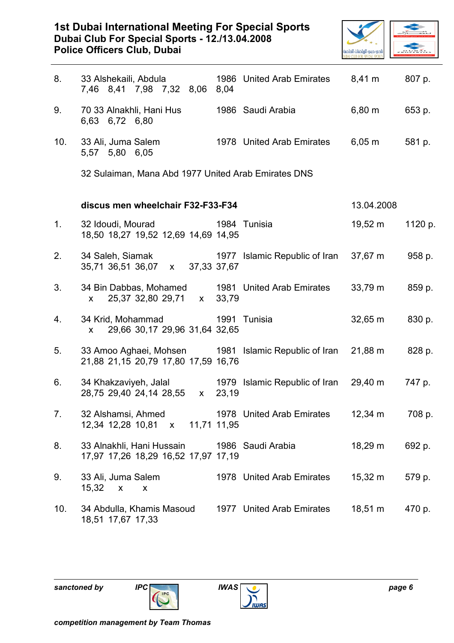# 1st Dubai International Meeting For Special Sports Dubai Club For Special Sports - 12./13.04.2008 Police Officers Club, Dubai



| 8.  | 33 Alshekaili, Abdula<br>7,46 8,41 7,98 7,32 8,06                                             | 8,04       | 1986 United Arab Emirates     | $8,41 \text{ m}$ | 807 p.  |
|-----|-----------------------------------------------------------------------------------------------|------------|-------------------------------|------------------|---------|
| 9.  | 70 33 Alnakhli, Hani Hus<br>6,63 6,72 6,80                                                    |            | 1986 Saudi Arabia             | 6,80 m           | 653 p.  |
| 10. | 33 Ali, Juma Salem<br>5,57 5,80 6,05                                                          |            | 1978 United Arab Emirates     | $6,05 \; m$      | 581 p.  |
|     | 32 Sulaiman, Mana Abd 1977 United Arab Emirates DNS                                           |            |                               |                  |         |
|     | discus men wheelchair F32-F33-F34                                                             | 13.04.2008 |                               |                  |         |
| 1.  | 32 Idoudi, Mourad<br>18,50 18,27 19,52 12,69 14,69 14,95                                      |            | 1984 Tunisia                  | $19,52 \; m$     | 1120 p. |
| 2.  | 34 Saleh, Siamak<br>35,71 36,51 36,07 x 37,33 37,67                                           |            | 1977 Islamic Republic of Iran | 37,67 m          | 958 p.  |
| 3.  | 34 Bin Dabbas, Mohamed 1981 United Arab Emirates<br>25,37 32,80 29,71 x 33,79<br>$\mathsf{X}$ |            |                               | $33,79 \; m$     | 859 p.  |
| 4.  | 34 Krid, Mohammad<br>29,66 30,17 29,96 31,64 32,65<br>$\mathsf{x}$                            |            | 1991 Tunisia                  | $32,65 \; m$     | 830 p.  |
| 5.  | 33 Amoo Aghaei, Mohsen 1981 Islamic Republic of Iran<br>21,88 21,15 20,79 17,80 17,59 16,76   |            |                               | 21,88 m          | 828 p.  |
| 6.  | 34 Khakzaviyeh, Jalal 1979 Islamic Republic of Iran<br>28,75 29,40 24,14 28,55 x              | 23,19      |                               | 29,40 m          | 747 p.  |
| 7.  | 32 Alshamsi, Ahmed<br>12,34 12,28 10,81 x 11,71 11,95                                         |            | 1978 United Arab Emirates     | $12,34 \; m$     | 708 p.  |
| 8.  | 33 Alnakhli, Hani Hussain<br>17,97 17,26 18,29 16,52 17,97 17,19                              |            | 1986 Saudi Arabia             | 18,29 m          | 692 p.  |
| 9.  | 33 Ali, Juma Salem<br>$15,32 \times x$                                                        |            | 1978 United Arab Emirates     | $15,32 \; m$     | 579 p.  |
| 10. | 34 Abdulla, Khamis Masoud<br>18,51 17,67 17,33                                                |            | 1977 United Arab Emirates     | 18,51 m          | 470 p.  |

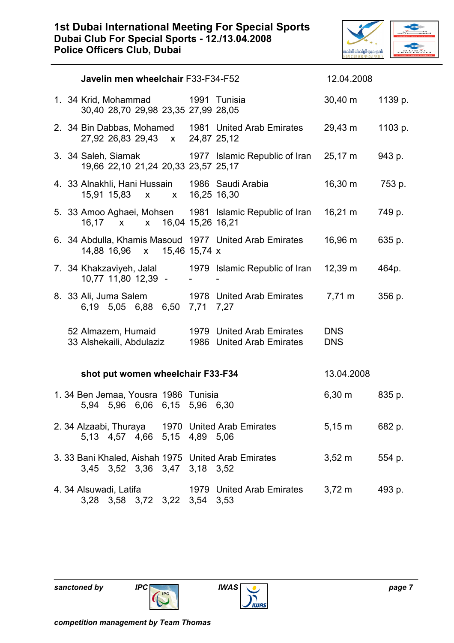

| Javelin men wheelchair F33-F34-F52 |  |                                                                                   |                     |               |                                                                           | 12.04.2008               |         |
|------------------------------------|--|-----------------------------------------------------------------------------------|---------------------|---------------|---------------------------------------------------------------------------|--------------------------|---------|
|                                    |  | 1. 34 Krid, Mohammad<br>30,40 28,70 29,98 23,35 27,99 28,05                       |                     |               | 1991 Tunisia                                                              | $30,40 \; m$             | 1139 p. |
|                                    |  | 27,92 26,83 29,43 x 24,87 25,12                                                   |                     |               | 2. 34 Bin Dabbas, Mohamed 1981 United Arab Emirates                       | 29,43 m                  | 1103 p. |
|                                    |  | 19,66 22,10 21,24 20,33 23,57 25,17                                               |                     |               | 3. 34 Saleh, Siamak 1977 Islamic Republic of Iran 25,17 m                 |                          | 943 p.  |
|                                    |  | 4. 33 Alnakhli, Hani Hussain 1986 Saudi Arabia<br>15,91 15,83 x                   |                     | x 16,25 16,30 |                                                                           | $16,30 \; m$             | 753 p.  |
|                                    |  | 16,17 $\times$                                                                    | x 16,04 15,26 16,21 |               | 5. 33 Amoo Aghaei, Mohsen 1981 Islamic Republic of Iran 16,21 m           |                          | 749 p.  |
|                                    |  | 14,88 16,96 x 15,46 15,74 x                                                       |                     |               | 6. 34 Abdulla, Khamis Masoud 1977 United Arab Emirates                    | 16,96 m                  | 635 p.  |
|                                    |  | 10,77 11,80 12,39 -                                                               |                     |               | 7. 34 Khakzaviyeh, Jalal 1979 Islamic Republic of Iran 12,39 m            |                          | 464p.   |
|                                    |  | 8. 33 Ali, Juma Salem<br>6,19 5,05 6,88 6,50 7,71 7,27                            |                     |               | 1978 United Arab Emirates 7,71 m                                          |                          | 356 p.  |
|                                    |  | 33 Alshekaili, Abdulaziz                                                          |                     |               | 52 Almazem, Humaid 1979 United Arab Emirates<br>1986 United Arab Emirates | <b>DNS</b><br><b>DNS</b> |         |
|                                    |  | shot put women wheelchair F33-F34                                                 |                     |               |                                                                           | 13.04.2008               |         |
|                                    |  | 1.34 Ben Jemaa, Yousra 1986 Tunisia<br>5,94 5,96 6,06 6,15 5,96 6,30              |                     |               |                                                                           | $6,30 \; m$              | 835 p.  |
|                                    |  | 2. 34 Alzaabi, Thuraya 1970 United Arab Emirates<br>5,13 4,57 4,66 5,15 4,89 5,06 |                     |               |                                                                           | $5,15 \text{ m}$         | 682 p.  |

- 3. 33 Bani Khaled, Aishah 1975 United Arab Emirates 3,52 m 554 p. 3,45 3,52 3,36 3,47 3,18 3,52 4. 34 Alsuwadi, Latifa 1979 United Arab Emirates 3,72 m 493 p.
- 3,28 3,58 3,72 3,22 3,54 3,53